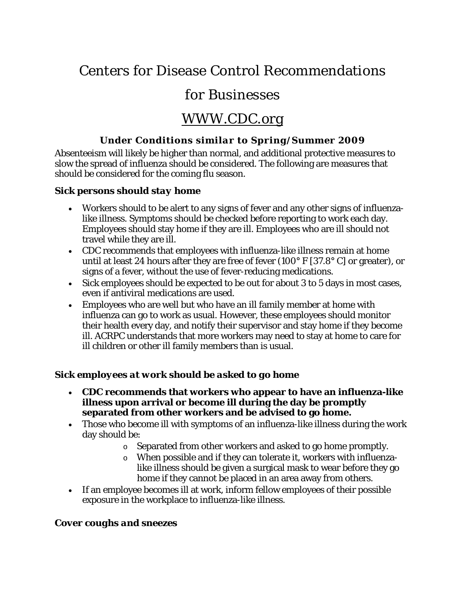# Centers for Disease Control Recommendations

## for Businesses

## WWW.CDC.org

## *Under Conditions similar to Spring/Summer 2009*

Absenteeism will likely be higher than normal, and additional protective measures to slow the spread of influenza should be considered. The following are measures that should be considered for the coming flu season.

### *Sick persons should stay home*

- Workers should to be alert to any signs of fever and any other signs of influenzalike illness. Symptoms should be checked before reporting to work each day. Employees should stay home if they are ill. Employees who are ill should not travel while they are ill.
- CDC recommends that employees with influenza-like illness remain at home until at least 24 hours after they are free of fever (100° F [37.8° C] or greater), or signs of a fever, without the use of fever-reducing medications.
- Sick employees should be expected to be out for about 3 to 5 days in most cases, even if antiviral medications are used.
- Employees who are well but who have an ill family member at home with influenza can go to work as usual. However, these employees should monitor their health every day, and notify their supervisor and stay home if they become ill. ACRPC understands that more workers may need to stay at home to care for ill children or other ill family members than is usual.

### *Sick employees at work should be asked to go home*

- **CDC recommends that workers who appear to have an influenza-like illness upon arrival or become ill during the day be promptly separated from other workers and be advised to go home.**
- Those who become ill with symptoms of an influenza-like illness during the work day should be:
	- o Separated from other workers and asked to go home promptly.
	- o When possible and if they can tolerate it, workers with influenzalike illness should be given a surgical mask to wear before they go home if they cannot be placed in an area away from others.
- If an employee becomes ill at work, inform fellow employees of their possible exposure in the workplace to influenza-like illness.

## *Cover coughs and sneezes*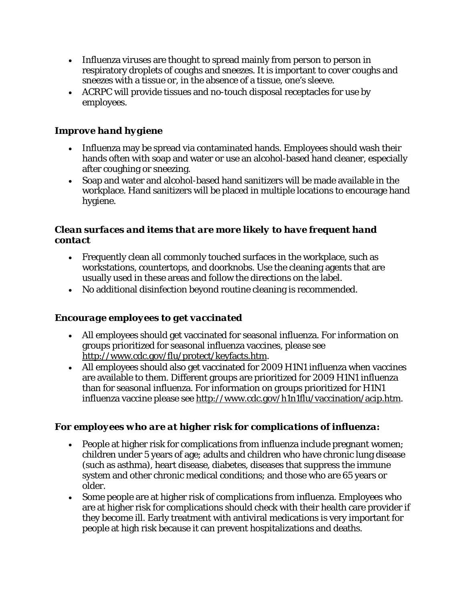- Influenza viruses are thought to spread mainly from person to person in respiratory droplets of coughs and sneezes. It is important to cover coughs and sneezes with a tissue or, in the absence of a tissue, one's sleeve.
- ACRPC will provide tissues and no-touch disposal receptacles for use by employees.

## *Improve hand hygiene*

- Influenza may be spread via contaminated hands. Employees should wash their hands often with soap and water or use an alcohol-based hand cleaner, especially after coughing or sneezing.
- Soap and water and alcohol-based hand sanitizers will be made available in the workplace. Hand sanitizers will be placed in multiple locations to encourage hand hygiene.

### *Clean surfaces and items that are more likely to have frequent hand contact*

- Frequently clean all commonly touched surfaces in the workplace, such as workstations, countertops, and doorknobs. Use the cleaning agents that are usually used in these areas and follow the directions on the label.
- No additional disinfection beyond routine cleaning is recommended.

### *Encourage employees to get vaccinated*

- All employees should get vaccinated for seasonal influenza. For information on groups prioritized for seasonal influenza vaccines, please see http://www.cdc.gov/flu/protect/keyfacts.htm.
- All employees should also get vaccinated for 2009 H1N1 influenza when vaccines are available to them. Different groups are prioritized for 2009 H1N1 influenza than for seasonal influenza. For information on groups prioritized for H1N1 influenza vaccine please see http://www.cdc.gov/h1n1flu/vaccination/acip.htm.

## *For employees who are at higher risk for complications of influenza:*

- People at higher risk for complications from influenza include pregnant women; children under 5 years of age; adults and children who have chronic lung disease (such as asthma), heart disease, diabetes, diseases that suppress the immune system and other chronic medical conditions; and those who are 65 years or older.
- Some people are at higher risk of complications from influenza. Employees who are at higher risk for complications should check with their health care provider if they become ill. Early treatment with antiviral medications is very important for people at high risk because it can prevent hospitalizations and deaths.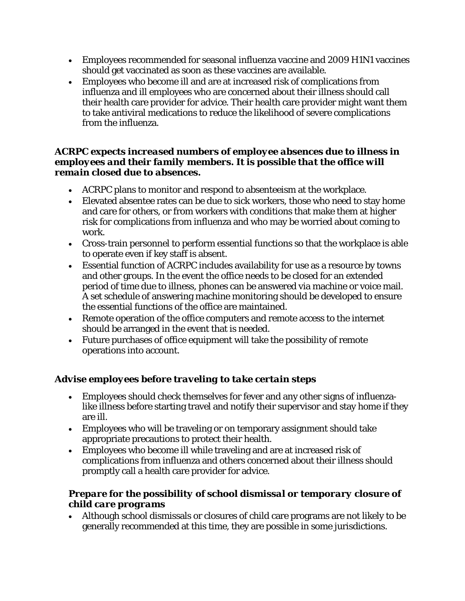- Employees recommended for seasonal influenza vaccine and 2009 H1N1 vaccines should get vaccinated as soon as these vaccines are available.
- Employees who become ill and are at increased risk of complications from influenza and ill employees who are concerned about their illness should call their health care provider for advice. Their health care provider might want them to take antiviral medications to reduce the likelihood of severe complications from the influenza.

#### *ACRPC expects increased numbers of employee absences due to illness in employees and their family members. It is possible that the office will remain closed due to absences.*

- ACRPC plans to monitor and respond to absenteeism at the workplace.
- Elevated absentee rates can be due to sick workers, those who need to stay home and care for others, or from workers with conditions that make them at higher risk for complications from influenza and who may be worried about coming to work.
- Cross-train personnel to perform essential functions so that the workplace is able to operate even if key staff is absent.
- Essential function of ACRPC includes availability for use as a resource by towns and other groups. In the event the office needs to be closed for an extended period of time due to illness, phones can be answered via machine or voice mail. A set schedule of answering machine monitoring should be developed to ensure the essential functions of the office are maintained.
- Remote operation of the office computers and remote access to the internet should be arranged in the event that is needed.
- Future purchases of office equipment will take the possibility of remote operations into account.

## *Advise employees before traveling to take certain steps*

- Employees should check themselves for fever and any other signs of influenzalike illness before starting travel and notify their supervisor and stay home if they are ill.
- Employees who will be traveling or on temporary assignment should take appropriate precautions to protect their health.
- Employees who become ill while traveling and are at increased risk of complications from influenza and others concerned about their illness should promptly call a health care provider for advice.

## *Prepare for the possibility of school dismissal or temporary closure of child care programs*

 Although school dismissals or closures of child care programs are not likely to be generally recommended at this time, they are possible in some jurisdictions.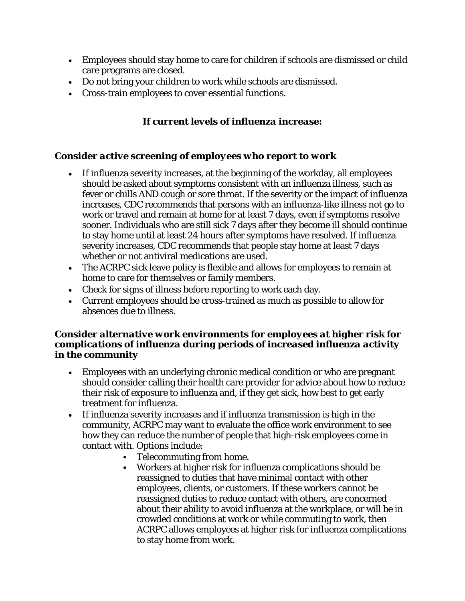- Employees should stay home to care for children if schools are dismissed or child care programs are closed.
- Do not bring your children to work while schools are dismissed.
- Cross-train employees to cover essential functions.

## *If current levels of influenza increase:*

### *Consider active screening of employees who report to work*

- If influenza severity increases, at the beginning of the workday, all employees should be asked about symptoms consistent with an influenza illness, such as fever or chills AND cough or sore throat. If the severity or the impact of influenza increases, CDC recommends that persons with an influenza-like illness not go to work or travel and remain at home for at least 7 days, even if symptoms resolve sooner. Individuals who are still sick 7 days after they become ill should continue to stay home until at least 24 hours after symptoms have resolved. If influenza severity increases, CDC recommends that people stay home at least 7 days whether or not antiviral medications are used.
- The ACRPC sick leave policy is flexible and allows for employees to remain at home to care for themselves or family members.
- Check for signs of illness before reporting to work each day.
- Current employees should be cross-trained as much as possible to allow for absences due to illness.

#### *Consider alternative work environments for employees at higher risk for complications of influenza during periods of increased influenza activity in the community*

- Employees with an underlying chronic medical condition or who are pregnant should consider calling their health care provider for advice about how to reduce their risk of exposure to influenza and, if they get sick, how best to get early treatment for influenza.
- If influenza severity increases and if influenza transmission is high in the community, ACRPC may want to evaluate the office work environment to see how they can reduce the number of people that high-risk employees come in contact with. Options include:
	- Telecommuting from home.
	- Workers at higher risk for influenza complications should be reassigned to duties that have minimal contact with other employees, clients, or customers. If these workers cannot be reassigned duties to reduce contact with others, are concerned about their ability to avoid influenza at the workplace, or will be in crowded conditions at work or while commuting to work, then ACRPC allows employees at higher risk for influenza complications to stay home from work.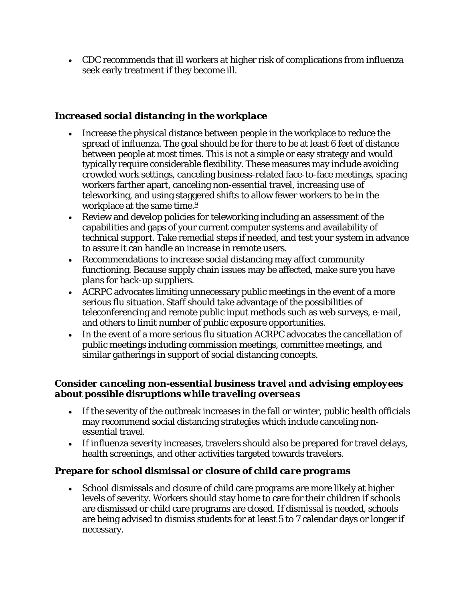CDC recommends that ill workers at higher risk of complications from influenza seek early treatment if they become ill.

## *Increased social distancing in the workplace*

- Increase the physical distance between people in the workplace to reduce the spread of influenza. The goal should be for there to be at least 6 feet of distance between people at most times. This is not a simple or easy strategy and would typically require considerable flexibility. These measures may include avoiding crowded work settings, canceling business-related face-to-face meetings, spacing workers farther apart, canceling non-essential travel, increasing use of teleworking, and using staggered shifts to allow fewer workers to be in the workplace at the same time.<sup>9</sup>
- Review and develop policies for teleworking including an assessment of the capabilities and gaps of your current computer systems and availability of technical support. Take remedial steps if needed, and test your system in advance to assure it can handle an increase in remote users.
- Recommendations to increase social distancing may affect community functioning. Because supply chain issues may be affected, make sure you have plans for back-up suppliers.
- ACRPC advocates limiting unnecessary public meetings in the event of a more serious flu situation. Staff should take advantage of the possibilities of teleconferencing and remote public input methods such as web surveys, e-mail, and others to limit number of public exposure opportunities.
- In the event of a more serious flu situation ACRPC advocates the cancellation of public meetings including commission meetings, committee meetings, and similar gatherings in support of social distancing concepts.

### *Consider canceling non-essential business travel and advising employees about possible disruptions while traveling overseas*

- If the severity of the outbreak increases in the fall or winter, public health officials may recommend social distancing strategies which include canceling nonessential travel.
- If influenza severity increases, travelers should also be prepared for travel delays, health screenings, and other activities targeted towards travelers.

## *Prepare for school dismissal or closure of child care programs*

 School dismissals and closure of child care programs are more likely at higher levels of severity. Workers should stay home to care for their children if schools are dismissed or child care programs are closed. If dismissal is needed, schools are being advised to dismiss students for at least 5 to 7 calendar days or longer if necessary.